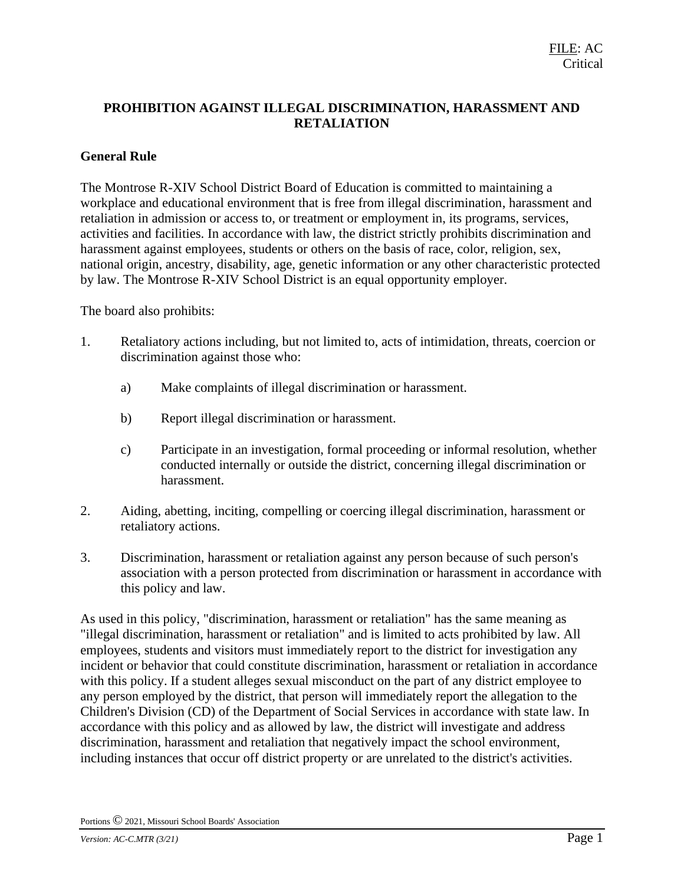# **PROHIBITION AGAINST ILLEGAL DISCRIMINATION, HARASSMENT AND RETALIATION**

#### **General Rule**

The Montrose R-XIV School District Board of Education is committed to maintaining a workplace and educational environment that is free from illegal discrimination, harassment and retaliation in admission or access to, or treatment or employment in, its programs, services, activities and facilities. In accordance with law, the district strictly prohibits discrimination and harassment against employees, students or others on the basis of race, color, religion, sex, national origin, ancestry, disability, age, genetic information or any other characteristic protected by law. The Montrose R-XIV School District is an equal opportunity employer.

The board also prohibits:

- 1. Retaliatory actions including, but not limited to, acts of intimidation, threats, coercion or discrimination against those who:
	- a) Make complaints of illegal discrimination or harassment.
	- b) Report illegal discrimination or harassment.
	- c) Participate in an investigation, formal proceeding or informal resolution, whether conducted internally or outside the district, concerning illegal discrimination or harassment.
- 2. Aiding, abetting, inciting, compelling or coercing illegal discrimination, harassment or retaliatory actions.
- 3. Discrimination, harassment or retaliation against any person because of such person's association with a person protected from discrimination or harassment in accordance with this policy and law.

As used in this policy, "discrimination, harassment or retaliation" has the same meaning as "illegal discrimination, harassment or retaliation" and is limited to acts prohibited by law. All employees, students and visitors must immediately report to the district for investigation any incident or behavior that could constitute discrimination, harassment or retaliation in accordance with this policy. If a student alleges sexual misconduct on the part of any district employee to any person employed by the district, that person will immediately report the allegation to the Children's Division (CD) of the Department of Social Services in accordance with state law. In accordance with this policy and as allowed by law, the district will investigate and address discrimination, harassment and retaliation that negatively impact the school environment, including instances that occur off district property or are unrelated to the district's activities.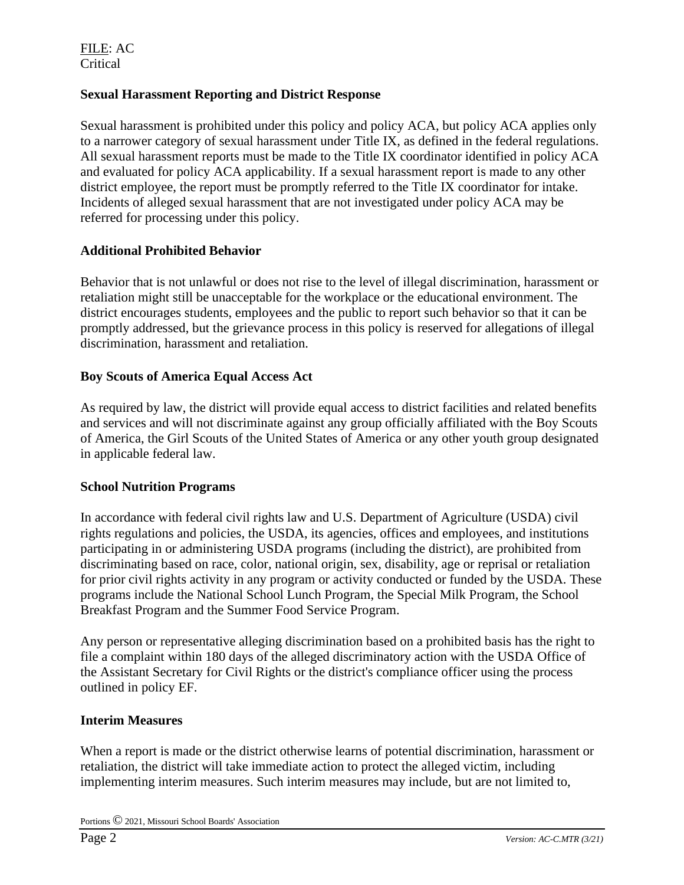#### **Sexual Harassment Reporting and District Response**

Sexual harassment is prohibited under this policy and policy ACA, but policy ACA applies only to a narrower category of sexual harassment under Title IX, as defined in the federal regulations. All sexual harassment reports must be made to the Title IX coordinator identified in policy ACA and evaluated for policy ACA applicability. If a sexual harassment report is made to any other district employee, the report must be promptly referred to the Title IX coordinator for intake. Incidents of alleged sexual harassment that are not investigated under policy ACA may be referred for processing under this policy.

#### **Additional Prohibited Behavior**

Behavior that is not unlawful or does not rise to the level of illegal discrimination, harassment or retaliation might still be unacceptable for the workplace or the educational environment. The district encourages students, employees and the public to report such behavior so that it can be promptly addressed, but the grievance process in this policy is reserved for allegations of illegal discrimination, harassment and retaliation.

#### **Boy Scouts of America Equal Access Act**

As required by law, the district will provide equal access to district facilities and related benefits and services and will not discriminate against any group officially affiliated with the Boy Scouts of America, the Girl Scouts of the United States of America or any other youth group designated in applicable federal law.

#### **School Nutrition Programs**

In accordance with federal civil rights law and U.S. Department of Agriculture (USDA) civil rights regulations and policies, the USDA, its agencies, offices and employees, and institutions participating in or administering USDA programs (including the district), are prohibited from discriminating based on race, color, national origin, sex, disability, age or reprisal or retaliation for prior civil rights activity in any program or activity conducted or funded by the USDA. These programs include the National School Lunch Program, the Special Milk Program, the School Breakfast Program and the Summer Food Service Program.

Any person or representative alleging discrimination based on a prohibited basis has the right to file a complaint within 180 days of the alleged discriminatory action with the USDA Office of the Assistant Secretary for Civil Rights or the district's compliance officer using the process outlined in policy EF.

#### **Interim Measures**

When a report is made or the district otherwise learns of potential discrimination, harassment or retaliation, the district will take immediate action to protect the alleged victim, including implementing interim measures. Such interim measures may include, but are not limited to,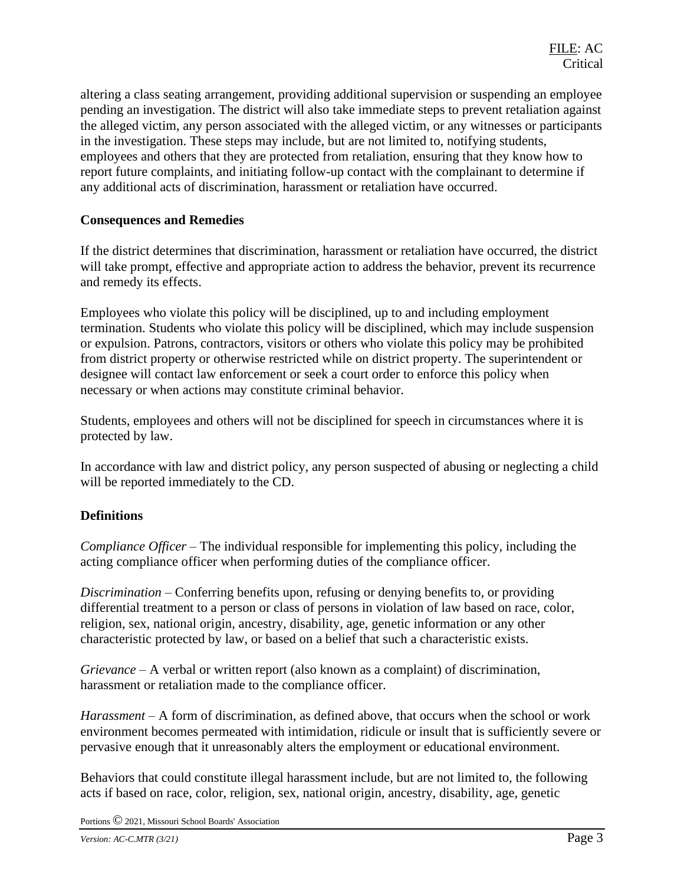altering a class seating arrangement, providing additional supervision or suspending an employee pending an investigation. The district will also take immediate steps to prevent retaliation against the alleged victim, any person associated with the alleged victim, or any witnesses or participants in the investigation. These steps may include, but are not limited to, notifying students, employees and others that they are protected from retaliation, ensuring that they know how to report future complaints, and initiating follow-up contact with the complainant to determine if any additional acts of discrimination, harassment or retaliation have occurred.

#### **Consequences and Remedies**

If the district determines that discrimination, harassment or retaliation have occurred, the district will take prompt, effective and appropriate action to address the behavior, prevent its recurrence and remedy its effects.

Employees who violate this policy will be disciplined, up to and including employment termination. Students who violate this policy will be disciplined, which may include suspension or expulsion. Patrons, contractors, visitors or others who violate this policy may be prohibited from district property or otherwise restricted while on district property. The superintendent or designee will contact law enforcement or seek a court order to enforce this policy when necessary or when actions may constitute criminal behavior.

Students, employees and others will not be disciplined for speech in circumstances where it is protected by law.

In accordance with law and district policy, any person suspected of abusing or neglecting a child will be reported immediately to the CD.

# **Definitions**

*Compliance Officer* – The individual responsible for implementing this policy, including the acting compliance officer when performing duties of the compliance officer.

*Discrimination* – Conferring benefits upon, refusing or denying benefits to, or providing differential treatment to a person or class of persons in violation of law based on race, color, religion, sex, national origin, ancestry, disability, age, genetic information or any other characteristic protected by law, or based on a belief that such a characteristic exists.

*Grievance* – A verbal or written report (also known as a complaint) of discrimination, harassment or retaliation made to the compliance officer.

*Harassment* – A form of discrimination, as defined above, that occurs when the school or work environment becomes permeated with intimidation, ridicule or insult that is sufficiently severe or pervasive enough that it unreasonably alters the employment or educational environment.

Behaviors that could constitute illegal harassment include, but are not limited to, the following acts if based on race, color, religion, sex, national origin, ancestry, disability, age, genetic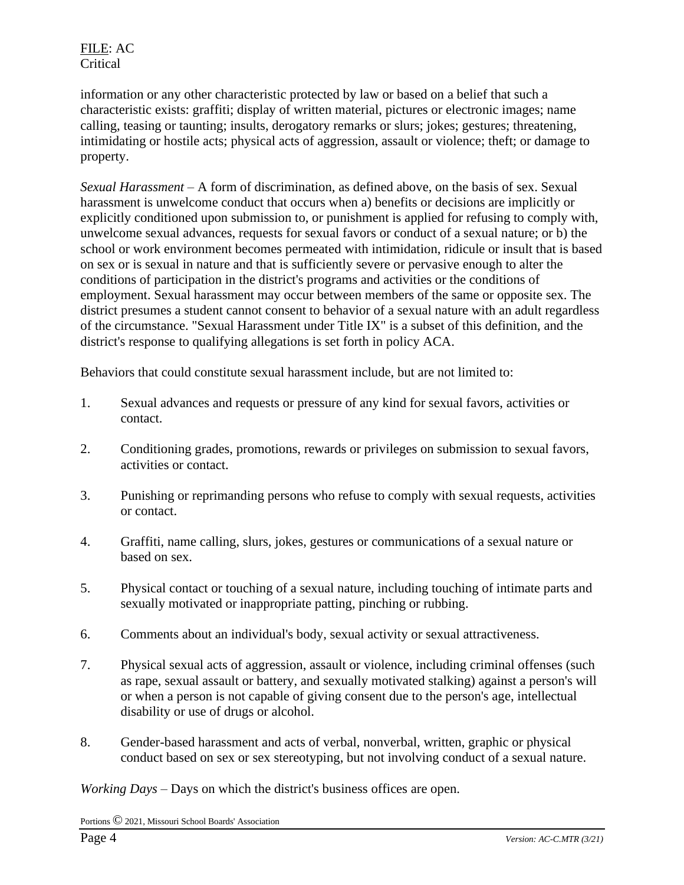information or any other characteristic protected by law or based on a belief that such a characteristic exists: graffiti; display of written material, pictures or electronic images; name calling, teasing or taunting; insults, derogatory remarks or slurs; jokes; gestures; threatening, intimidating or hostile acts; physical acts of aggression, assault or violence; theft; or damage to property.

*Sexual Harassment* – A form of discrimination, as defined above, on the basis of sex. Sexual harassment is unwelcome conduct that occurs when a) benefits or decisions are implicitly or explicitly conditioned upon submission to, or punishment is applied for refusing to comply with, unwelcome sexual advances, requests for sexual favors or conduct of a sexual nature; or b) the school or work environment becomes permeated with intimidation, ridicule or insult that is based on sex or is sexual in nature and that is sufficiently severe or pervasive enough to alter the conditions of participation in the district's programs and activities or the conditions of employment. Sexual harassment may occur between members of the same or opposite sex. The district presumes a student cannot consent to behavior of a sexual nature with an adult regardless of the circumstance. "Sexual Harassment under Title IX" is a subset of this definition, and the district's response to qualifying allegations is set forth in policy ACA.

Behaviors that could constitute sexual harassment include, but are not limited to:

- 1. Sexual advances and requests or pressure of any kind for sexual favors, activities or contact.
- 2. Conditioning grades, promotions, rewards or privileges on submission to sexual favors, activities or contact.
- 3. Punishing or reprimanding persons who refuse to comply with sexual requests, activities or contact.
- 4. Graffiti, name calling, slurs, jokes, gestures or communications of a sexual nature or based on sex.
- 5. Physical contact or touching of a sexual nature, including touching of intimate parts and sexually motivated or inappropriate patting, pinching or rubbing.
- 6. Comments about an individual's body, sexual activity or sexual attractiveness.
- 7. Physical sexual acts of aggression, assault or violence, including criminal offenses (such as rape, sexual assault or battery, and sexually motivated stalking) against a person's will or when a person is not capable of giving consent due to the person's age, intellectual disability or use of drugs or alcohol.
- 8. Gender-based harassment and acts of verbal, nonverbal, written, graphic or physical conduct based on sex or sex stereotyping, but not involving conduct of a sexual nature.

*Working Days* – Days on which the district's business offices are open.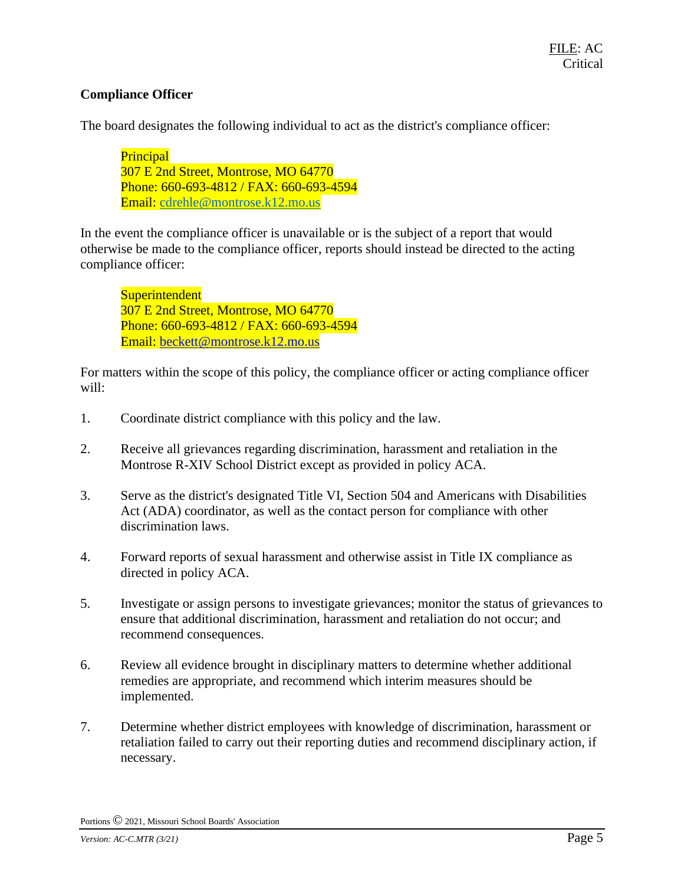# **Compliance Officer**

The board designates the following individual to act as the district's compliance officer:

**Principal** 307 E 2nd Street, Montrose, MO 64770 Phone: 660-693-4812 / FAX: 660-693-4594 Email: [cdrehle@montrose.k12.mo.us](mailto:cdrehle@montrose.k12.mo.us)

In the event the compliance officer is unavailable or is the subject of a report that would otherwise be made to the compliance officer, reports should instead be directed to the acting compliance officer:

**Superintendent** 307 E 2nd Street, Montrose, MO 64770 Phone: 660-693-4812 / FAX: 660-693-4594 Email: beckett@montrose.k12.mo.us

For matters within the scope of this policy, the compliance officer or acting compliance officer will:

- 1. Coordinate district compliance with this policy and the law.
- 2. Receive all grievances regarding discrimination, harassment and retaliation in the Montrose R-XIV School District except as provided in policy ACA.
- 3. Serve as the district's designated Title VI, Section 504 and Americans with Disabilities Act (ADA) coordinator, as well as the contact person for compliance with other discrimination laws.
- 4. Forward reports of sexual harassment and otherwise assist in Title IX compliance as directed in policy ACA.
- 5. Investigate or assign persons to investigate grievances; monitor the status of grievances to ensure that additional discrimination, harassment and retaliation do not occur; and recommend consequences.
- 6. Review all evidence brought in disciplinary matters to determine whether additional remedies are appropriate, and recommend which interim measures should be implemented.
- 7. Determine whether district employees with knowledge of discrimination, harassment or retaliation failed to carry out their reporting duties and recommend disciplinary action, if necessary.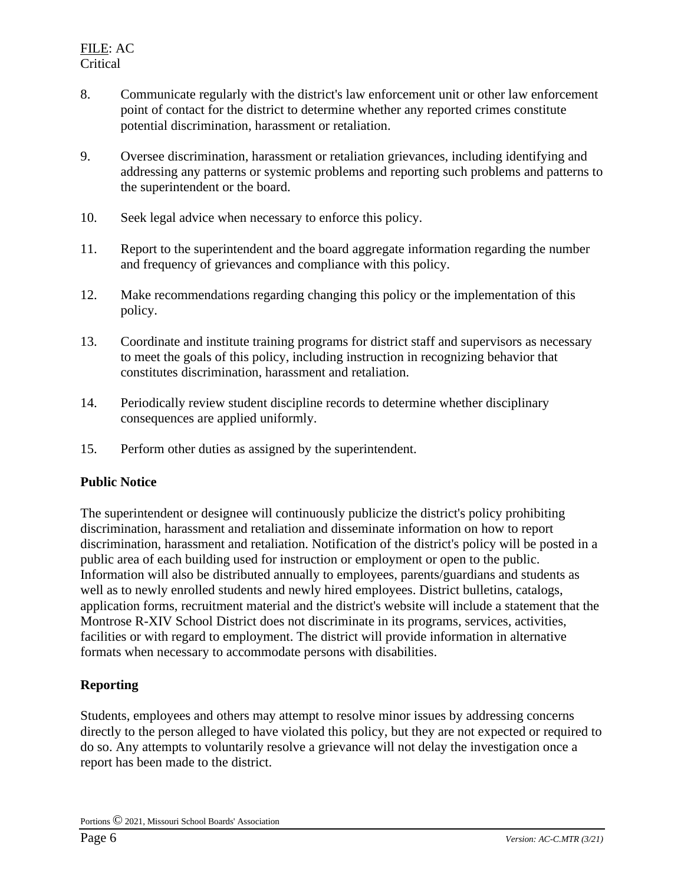- 8. Communicate regularly with the district's law enforcement unit or other law enforcement point of contact for the district to determine whether any reported crimes constitute potential discrimination, harassment or retaliation.
- 9. Oversee discrimination, harassment or retaliation grievances, including identifying and addressing any patterns or systemic problems and reporting such problems and patterns to the superintendent or the board.
- 10. Seek legal advice when necessary to enforce this policy.
- 11. Report to the superintendent and the board aggregate information regarding the number and frequency of grievances and compliance with this policy.
- 12. Make recommendations regarding changing this policy or the implementation of this policy.
- 13. Coordinate and institute training programs for district staff and supervisors as necessary to meet the goals of this policy, including instruction in recognizing behavior that constitutes discrimination, harassment and retaliation.
- 14. Periodically review student discipline records to determine whether disciplinary consequences are applied uniformly.
- 15. Perform other duties as assigned by the superintendent.

# **Public Notice**

The superintendent or designee will continuously publicize the district's policy prohibiting discrimination, harassment and retaliation and disseminate information on how to report discrimination, harassment and retaliation. Notification of the district's policy will be posted in a public area of each building used for instruction or employment or open to the public. Information will also be distributed annually to employees, parents/guardians and students as well as to newly enrolled students and newly hired employees. District bulletins, catalogs, application forms, recruitment material and the district's website will include a statement that the Montrose R-XIV School District does not discriminate in its programs, services, activities, facilities or with regard to employment. The district will provide information in alternative formats when necessary to accommodate persons with disabilities.

# **Reporting**

Students, employees and others may attempt to resolve minor issues by addressing concerns directly to the person alleged to have violated this policy, but they are not expected or required to do so. Any attempts to voluntarily resolve a grievance will not delay the investigation once a report has been made to the district.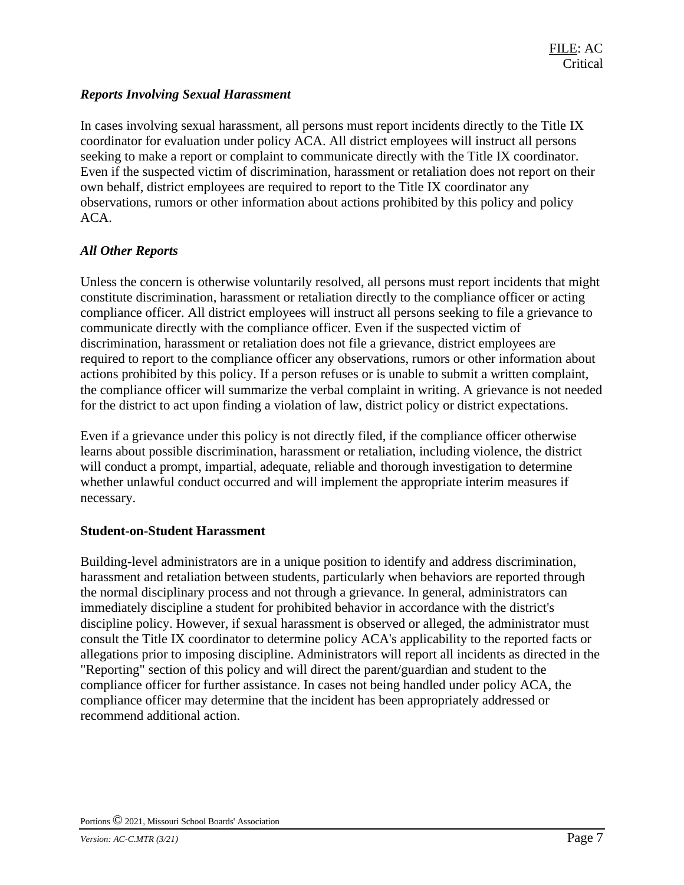# *Reports Involving Sexual Harassment*

In cases involving sexual harassment, all persons must report incidents directly to the Title IX coordinator for evaluation under policy ACA. All district employees will instruct all persons seeking to make a report or complaint to communicate directly with the Title IX coordinator. Even if the suspected victim of discrimination, harassment or retaliation does not report on their own behalf, district employees are required to report to the Title IX coordinator any observations, rumors or other information about actions prohibited by this policy and policy ACA.

#### *All Other Reports*

Unless the concern is otherwise voluntarily resolved, all persons must report incidents that might constitute discrimination, harassment or retaliation directly to the compliance officer or acting compliance officer. All district employees will instruct all persons seeking to file a grievance to communicate directly with the compliance officer. Even if the suspected victim of discrimination, harassment or retaliation does not file a grievance, district employees are required to report to the compliance officer any observations, rumors or other information about actions prohibited by this policy. If a person refuses or is unable to submit a written complaint, the compliance officer will summarize the verbal complaint in writing. A grievance is not needed for the district to act upon finding a violation of law, district policy or district expectations.

Even if a grievance under this policy is not directly filed, if the compliance officer otherwise learns about possible discrimination, harassment or retaliation, including violence, the district will conduct a prompt, impartial, adequate, reliable and thorough investigation to determine whether unlawful conduct occurred and will implement the appropriate interim measures if necessary.

#### **Student-on-Student Harassment**

Building-level administrators are in a unique position to identify and address discrimination, harassment and retaliation between students, particularly when behaviors are reported through the normal disciplinary process and not through a grievance. In general, administrators can immediately discipline a student for prohibited behavior in accordance with the district's discipline policy. However, if sexual harassment is observed or alleged, the administrator must consult the Title IX coordinator to determine policy ACA's applicability to the reported facts or allegations prior to imposing discipline. Administrators will report all incidents as directed in the "Reporting" section of this policy and will direct the parent/guardian and student to the compliance officer for further assistance. In cases not being handled under policy ACA, the compliance officer may determine that the incident has been appropriately addressed or recommend additional action.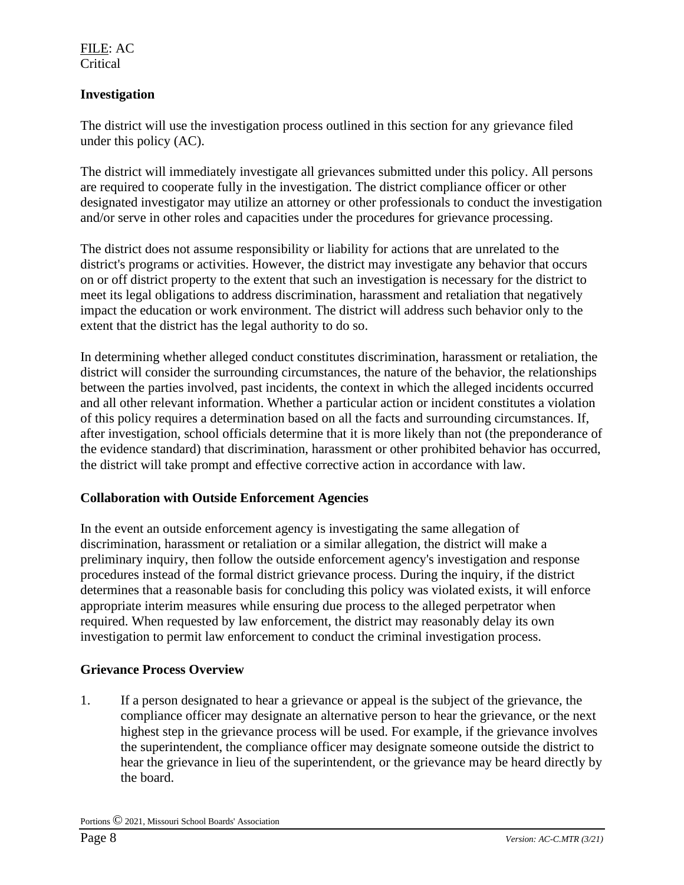# **Investigation**

The district will use the investigation process outlined in this section for any grievance filed under this policy (AC).

The district will immediately investigate all grievances submitted under this policy. All persons are required to cooperate fully in the investigation. The district compliance officer or other designated investigator may utilize an attorney or other professionals to conduct the investigation and/or serve in other roles and capacities under the procedures for grievance processing.

The district does not assume responsibility or liability for actions that are unrelated to the district's programs or activities. However, the district may investigate any behavior that occurs on or off district property to the extent that such an investigation is necessary for the district to meet its legal obligations to address discrimination, harassment and retaliation that negatively impact the education or work environment. The district will address such behavior only to the extent that the district has the legal authority to do so.

In determining whether alleged conduct constitutes discrimination, harassment or retaliation, the district will consider the surrounding circumstances, the nature of the behavior, the relationships between the parties involved, past incidents, the context in which the alleged incidents occurred and all other relevant information. Whether a particular action or incident constitutes a violation of this policy requires a determination based on all the facts and surrounding circumstances. If, after investigation, school officials determine that it is more likely than not (the preponderance of the evidence standard) that discrimination, harassment or other prohibited behavior has occurred, the district will take prompt and effective corrective action in accordance with law.

# **Collaboration with Outside Enforcement Agencies**

In the event an outside enforcement agency is investigating the same allegation of discrimination, harassment or retaliation or a similar allegation, the district will make a preliminary inquiry, then follow the outside enforcement agency's investigation and response procedures instead of the formal district grievance process. During the inquiry, if the district determines that a reasonable basis for concluding this policy was violated exists, it will enforce appropriate interim measures while ensuring due process to the alleged perpetrator when required. When requested by law enforcement, the district may reasonably delay its own investigation to permit law enforcement to conduct the criminal investigation process.

# **Grievance Process Overview**

1. If a person designated to hear a grievance or appeal is the subject of the grievance, the compliance officer may designate an alternative person to hear the grievance, or the next highest step in the grievance process will be used. For example, if the grievance involves the superintendent, the compliance officer may designate someone outside the district to hear the grievance in lieu of the superintendent, or the grievance may be heard directly by the board.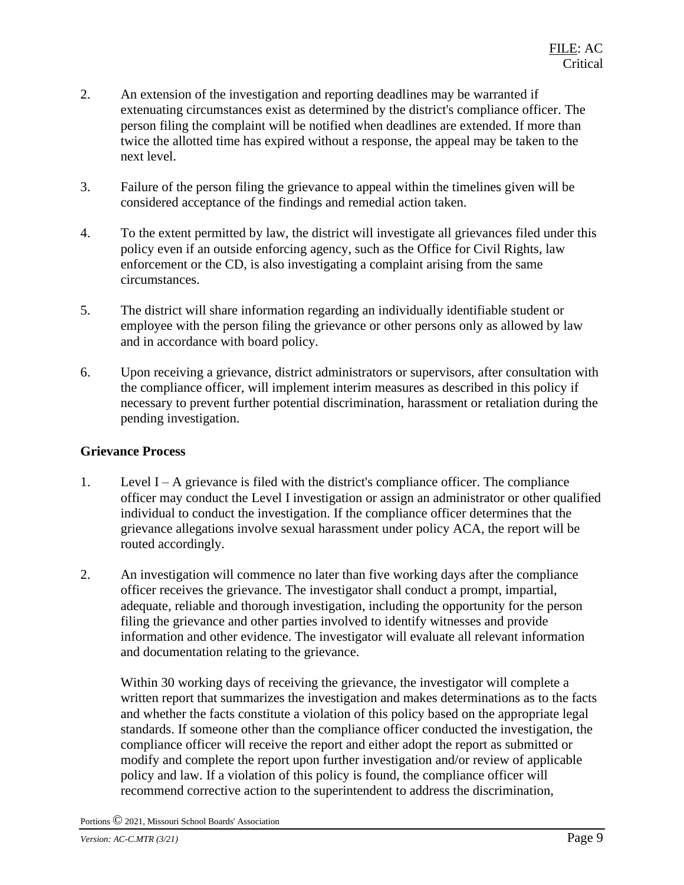- 2. An extension of the investigation and reporting deadlines may be warranted if extenuating circumstances exist as determined by the district's compliance officer. The person filing the complaint will be notified when deadlines are extended. If more than twice the allotted time has expired without a response, the appeal may be taken to the next level.
- 3. Failure of the person filing the grievance to appeal within the timelines given will be considered acceptance of the findings and remedial action taken.
- 4. To the extent permitted by law, the district will investigate all grievances filed under this policy even if an outside enforcing agency, such as the Office for Civil Rights, law enforcement or the CD, is also investigating a complaint arising from the same circumstances.
- 5. The district will share information regarding an individually identifiable student or employee with the person filing the grievance or other persons only as allowed by law and in accordance with board policy.
- 6. Upon receiving a grievance, district administrators or supervisors, after consultation with the compliance officer, will implement interim measures as described in this policy if necessary to prevent further potential discrimination, harassment or retaliation during the pending investigation.

# **Grievance Process**

- 1. Level I A grievance is filed with the district's compliance officer. The compliance officer may conduct the Level I investigation or assign an administrator or other qualified individual to conduct the investigation. If the compliance officer determines that the grievance allegations involve sexual harassment under policy ACA, the report will be routed accordingly.
- 2. An investigation will commence no later than five working days after the compliance officer receives the grievance. The investigator shall conduct a prompt, impartial, adequate, reliable and thorough investigation, including the opportunity for the person filing the grievance and other parties involved to identify witnesses and provide information and other evidence. The investigator will evaluate all relevant information and documentation relating to the grievance.

Within 30 working days of receiving the grievance, the investigator will complete a written report that summarizes the investigation and makes determinations as to the facts and whether the facts constitute a violation of this policy based on the appropriate legal standards. If someone other than the compliance officer conducted the investigation, the compliance officer will receive the report and either adopt the report as submitted or modify and complete the report upon further investigation and/or review of applicable policy and law. If a violation of this policy is found, the compliance officer will recommend corrective action to the superintendent to address the discrimination,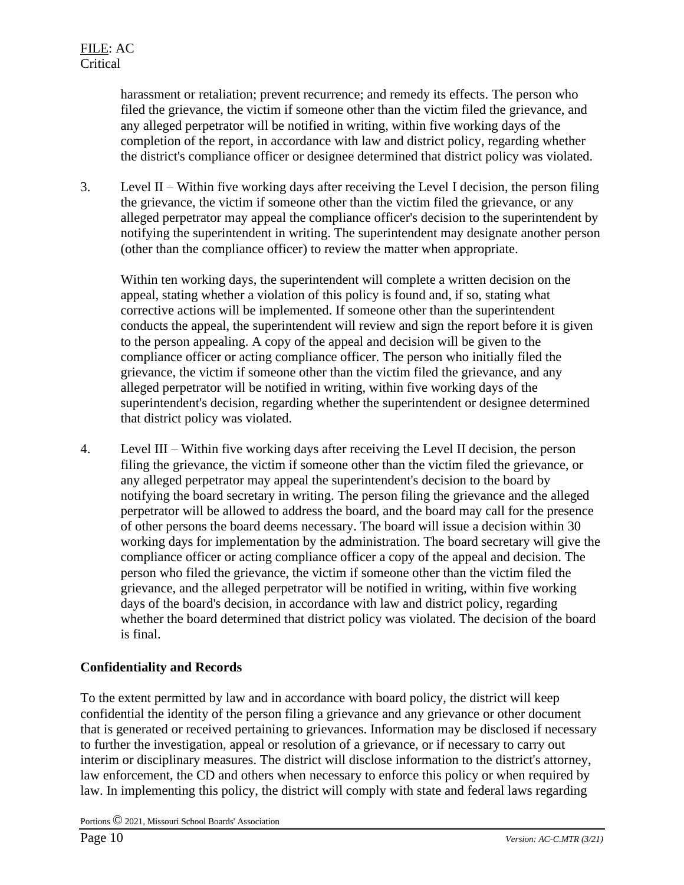harassment or retaliation; prevent recurrence; and remedy its effects. The person who filed the grievance, the victim if someone other than the victim filed the grievance, and any alleged perpetrator will be notified in writing, within five working days of the completion of the report, in accordance with law and district policy, regarding whether the district's compliance officer or designee determined that district policy was violated.

3. Level II – Within five working days after receiving the Level I decision, the person filing the grievance, the victim if someone other than the victim filed the grievance, or any alleged perpetrator may appeal the compliance officer's decision to the superintendent by notifying the superintendent in writing. The superintendent may designate another person (other than the compliance officer) to review the matter when appropriate.

Within ten working days, the superintendent will complete a written decision on the appeal, stating whether a violation of this policy is found and, if so, stating what corrective actions will be implemented. If someone other than the superintendent conducts the appeal, the superintendent will review and sign the report before it is given to the person appealing. A copy of the appeal and decision will be given to the compliance officer or acting compliance officer. The person who initially filed the grievance, the victim if someone other than the victim filed the grievance, and any alleged perpetrator will be notified in writing, within five working days of the superintendent's decision, regarding whether the superintendent or designee determined that district policy was violated.

4. Level III – Within five working days after receiving the Level II decision, the person filing the grievance, the victim if someone other than the victim filed the grievance, or any alleged perpetrator may appeal the superintendent's decision to the board by notifying the board secretary in writing. The person filing the grievance and the alleged perpetrator will be allowed to address the board, and the board may call for the presence of other persons the board deems necessary. The board will issue a decision within 30 working days for implementation by the administration. The board secretary will give the compliance officer or acting compliance officer a copy of the appeal and decision. The person who filed the grievance, the victim if someone other than the victim filed the grievance, and the alleged perpetrator will be notified in writing, within five working days of the board's decision, in accordance with law and district policy, regarding whether the board determined that district policy was violated. The decision of the board is final.

# **Confidentiality and Records**

To the extent permitted by law and in accordance with board policy, the district will keep confidential the identity of the person filing a grievance and any grievance or other document that is generated or received pertaining to grievances. Information may be disclosed if necessary to further the investigation, appeal or resolution of a grievance, or if necessary to carry out interim or disciplinary measures. The district will disclose information to the district's attorney, law enforcement, the CD and others when necessary to enforce this policy or when required by law. In implementing this policy, the district will comply with state and federal laws regarding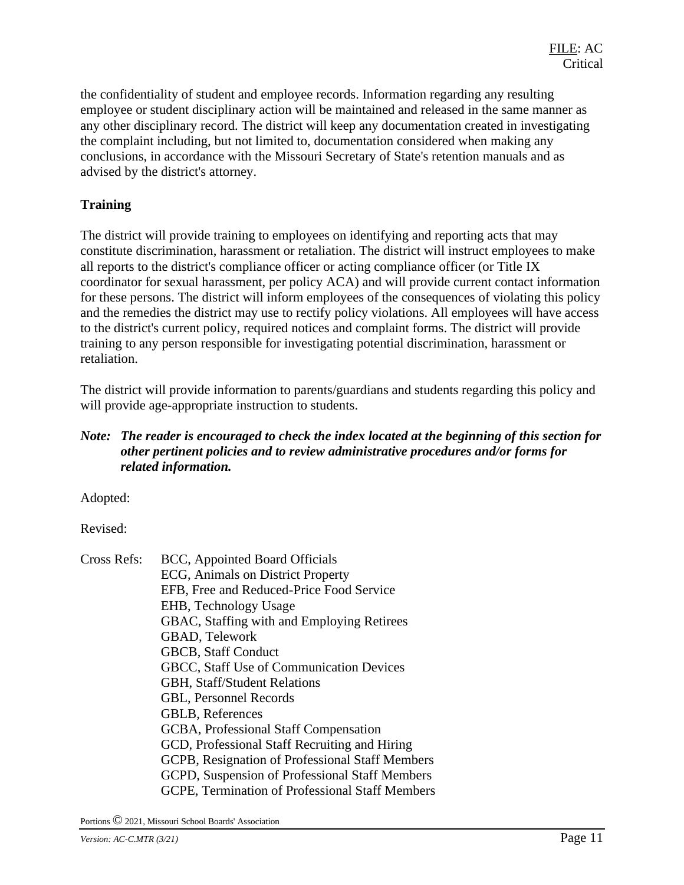the confidentiality of student and employee records. Information regarding any resulting employee or student disciplinary action will be maintained and released in the same manner as any other disciplinary record. The district will keep any documentation created in investigating the complaint including, but not limited to, documentation considered when making any conclusions, in accordance with the Missouri Secretary of State's retention manuals and as advised by the district's attorney.

# **Training**

The district will provide training to employees on identifying and reporting acts that may constitute discrimination, harassment or retaliation. The district will instruct employees to make all reports to the district's compliance officer or acting compliance officer (or Title IX coordinator for sexual harassment, per policy ACA) and will provide current contact information for these persons. The district will inform employees of the consequences of violating this policy and the remedies the district may use to rectify policy violations. All employees will have access to the district's current policy, required notices and complaint forms. The district will provide training to any person responsible for investigating potential discrimination, harassment or retaliation.

The district will provide information to parents/guardians and students regarding this policy and will provide age-appropriate instruction to students.

#### *Note: The reader is encouraged to check the index located at the beginning of this section for other pertinent policies and to review administrative procedures and/or forms for related information.*

Adopted:

Revised:

Cross Refs: BCC, Appointed Board Officials ECG, Animals on District Property EFB, Free and Reduced-Price Food Service EHB, Technology Usage GBAC, Staffing with and Employing Retirees GBAD, Telework GBCB, Staff Conduct GBCC, Staff Use of Communication Devices GBH, Staff/Student Relations GBL, Personnel Records GBLB, References GCBA, Professional Staff Compensation GCD, Professional Staff Recruiting and Hiring GCPB, Resignation of Professional Staff Members GCPD, Suspension of Professional Staff Members GCPE, Termination of Professional Staff Members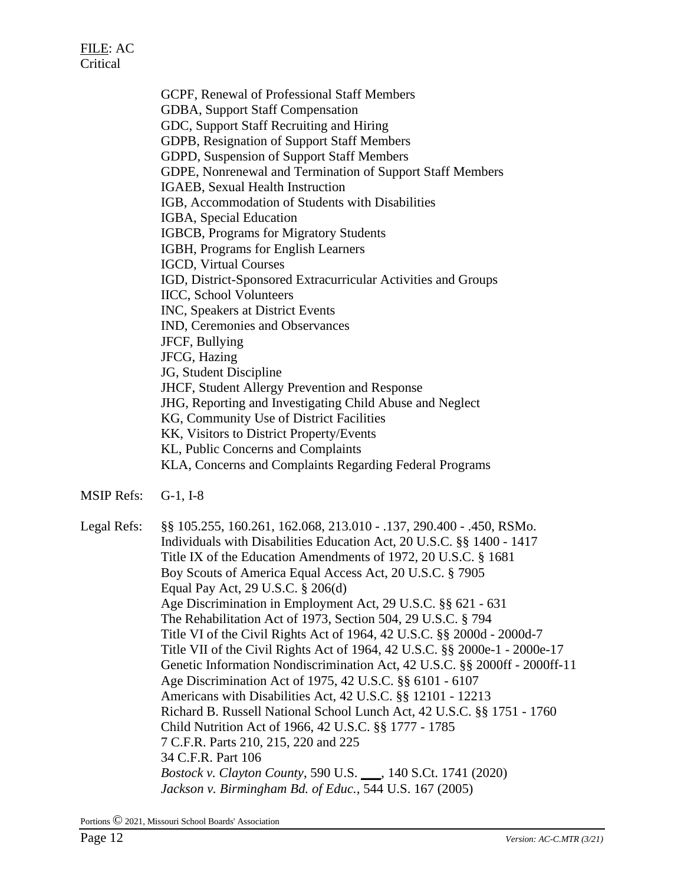GCPF, Renewal of Professional Staff Members GDBA, Support Staff Compensation GDC, Support Staff Recruiting and Hiring GDPB, Resignation of Support Staff Members GDPD, Suspension of Support Staff Members GDPE, Nonrenewal and Termination of Support Staff Members IGAEB, Sexual Health Instruction IGB, Accommodation of Students with Disabilities IGBA, Special Education IGBCB, Programs for Migratory Students IGBH, Programs for English Learners IGCD, Virtual Courses IGD, District-Sponsored Extracurricular Activities and Groups IICC, School Volunteers INC, Speakers at District Events IND, Ceremonies and Observances JFCF, Bullying JFCG, Hazing JG, Student Discipline JHCF, Student Allergy Prevention and Response JHG, Reporting and Investigating Child Abuse and Neglect KG, Community Use of District Facilities KK, Visitors to District Property/Events KL, Public Concerns and Complaints KLA, Concerns and Complaints Regarding Federal Programs

MSIP Refs: G-1, I-8

Legal Refs: §§ 105.255, 160.261, 162.068, 213.010 - .137, 290.400 - .450, RSMo. Individuals with Disabilities Education Act, 20 U.S.C. §§ 1400 - 1417 Title IX of the Education Amendments of 1972, 20 U.S.C. § 1681 Boy Scouts of America Equal Access Act, 20 U.S.C. § 7905 Equal Pay Act, 29 U.S.C. § 206(d) Age Discrimination in Employment Act, 29 U.S.C. §§ 621 - 631 The Rehabilitation Act of 1973, Section 504, 29 U.S.C. § 794 Title VI of the Civil Rights Act of 1964, 42 U.S.C. §§ 2000d - 2000d-7 Title VII of the Civil Rights Act of 1964, 42 U.S.C. §§ 2000e-1 - 2000e-17 Genetic Information Nondiscrimination Act, 42 U.S.C. §§ 2000ff - 2000ff-11 Age Discrimination Act of 1975, 42 U.S.C. §§ 6101 - 6107 Americans with Disabilities Act, 42 U.S.C. §§ 12101 - 12213 Richard B. Russell National School Lunch Act, 42 U.S.C. §§ 1751 - 1760 Child Nutrition Act of 1966, 42 U.S.C. §§ 1777 - 1785 7 C.F.R. Parts 210, 215, 220 and 225 34 C.F.R. Part 106 *Bostock v. Clayton County*, 590 U.S. \_\_\_, 140 S.Ct. 1741 (2020) *Jackson v. Birmingham Bd. of Educ.,* 544 U.S. 167 (2005)